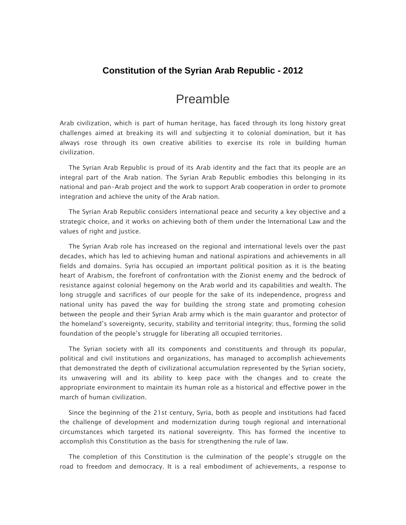## **Constitution of the Syrian Arab Republic - 2012**

## Preamble

Arab civilization, which is part of human heritage, has faced through its long history great challenges aimed at breaking its will and subjecting it to colonial domination, but it has always rose through its own creative abilities to exercise its role in building human civilization.

The Syrian Arab Republic is proud of its Arab identity and the fact that its people are an integral part of the Arab nation. The Syrian Arab Republic embodies this belonging in its national and pan-Arab project and the work to support Arab cooperation in order to promote integration and achieve the unity of the Arab nation.

The Syrian Arab Republic considers international peace and security a key objective and a strategic choice, and it works on achieving both of them under the International Law and the values of right and justice.

The Syrian Arab role has increased on the regional and international levels over the past decades, which has led to achieving human and national aspirations and achievements in all fields and domains. Syria has occupied an important political position as it is the beating heart of Arabism, the forefront of confrontation with the Zionist enemy and the bedrock of resistance against colonial hegemony on the Arab world and its capabilities and wealth. The long struggle and sacrifices of our people for the sake of its independence, progress and national unity has paved the way for building the strong state and promoting cohesion between the people and their Syrian Arab army which is the main guarantor and protector of the homeland's sovereignty, security, stability and territorial integrity; thus, forming the solid foundation of the people's struggle for liberating all occupied territories.

The Syrian society with all its components and constituents and through its popular, political and civil institutions and organizations, has managed to accomplish achievements that demonstrated the depth of civilizational accumulation represented by the Syrian society, its unwavering will and its ability to keep pace with the changes and to create the appropriate environment to maintain its human role as a historical and effective power in the march of human civilization.

Since the beginning of the 21st century, Syria, both as people and institutions had faced the challenge of development and modernization during tough regional and international circumstances which targeted its national sovereignty. This has formed the incentive to accomplish this Constitution as the basis for strengthening the rule of law.

The completion of this Constitution is the culmination of the people's struggle on the road to freedom and democracy. It is a real embodiment of achievements, a response to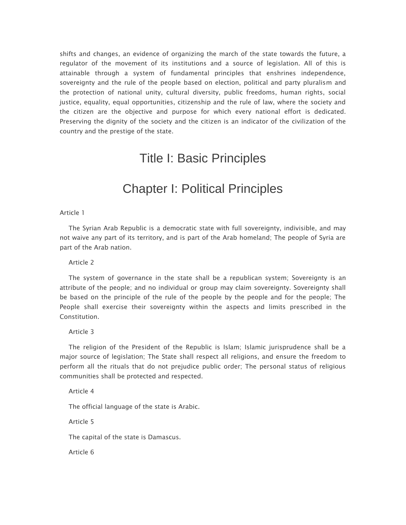shifts and changes, an evidence of organizing the march of the state towards the future, a regulator of the movement of its institutions and a source of legislation. All of this is attainable through a system of fundamental principles that enshrines independence, sovereignty and the rule of the people based on election, political and party pluralism and the protection of national unity, cultural diversity, public freedoms, human rights, social justice, equality, equal opportunities, citizenship and the rule of law, where the society and the citizen are the objective and purpose for which every national effort is dedicated. Preserving the dignity of the society and the citizen is an indicator of the civilization of the country and the prestige of the state.

# Title I: Basic Principles

# Chapter I: Political Principles

## Article 1

The Syrian Arab Republic is a democratic state with full sovereignty, indivisible, and may not waive any part of its territory, and is part of the Arab homeland; The people of Syria are part of the Arab nation.

## Article 2

The system of governance in the state shall be a republican system; Sovereignty is an attribute of the people; and no individual or group may claim sovereignty. Sovereignty shall be based on the principle of the rule of the people by the people and for the people; The People shall exercise their sovereignty within the aspects and limits prescribed in the Constitution.

## Article 3

The religion of the President of the Republic is Islam; Islamic jurisprudence shall be a major source of legislation; The State shall respect all religions, and ensure the freedom to perform all the rituals that do not prejudice public order; The personal status of religious communities shall be protected and respected.

Article 4

The official language of the state is Arabic.

Article 5

The capital of the state is Damascus.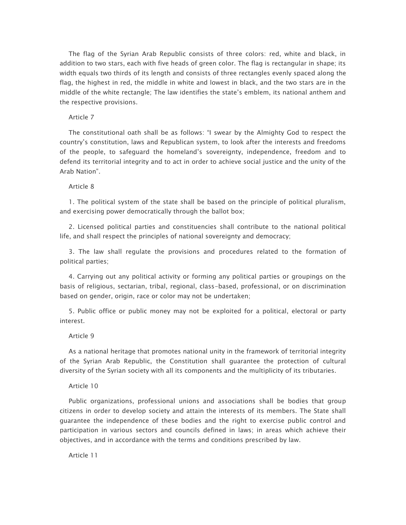The flag of the Syrian Arab Republic consists of three colors: red, white and black, in addition to two stars, each with five heads of green color. The flag is rectangular in shape; its width equals two thirds of its length and consists of three rectangles evenly spaced along the flag, the highest in red, the middle in white and lowest in black, and the two stars are in the middle of the white rectangle; The law identifies the state's emblem, its national anthem and the respective provisions.

## Article 7

The constitutional oath shall be as follows: "I swear by the Almighty God to respect the country's constitution, laws and Republican system, to look after the interests and freedoms of the people, to safeguard the homeland's sovereignty, independence, freedom and to defend its territorial integrity and to act in order to achieve social justice and the unity of the Arab Nation".

#### Article 8

1. The political system of the state shall be based on the principle of political pluralism, and exercising power democratically through the ballot box;

2. Licensed political parties and constituencies shall contribute to the national political life, and shall respect the principles of national sovereignty and democracy;

3. The law shall regulate the provisions and procedures related to the formation of political parties;

4. Carrying out any political activity or forming any political parties or groupings on the basis of religious, sectarian, tribal, regional, class-based, professional, or on discrimination based on gender, origin, race or color may not be undertaken;

5. Public office or public money may not be exploited for a political, electoral or party interest.

#### Article 9

As a national heritage that promotes national unity in the framework of territorial integrity of the Syrian Arab Republic, the Constitution shall guarantee the protection of cultural diversity of the Syrian society with all its components and the multiplicity of its tributaries.

#### Article 10

Public organizations, professional unions and associations shall be bodies that group citizens in order to develop society and attain the interests of its members. The State shall guarantee the independence of these bodies and the right to exercise public control and participation in various sectors and councils defined in laws; in areas which achieve their objectives, and in accordance with the terms and conditions prescribed by law.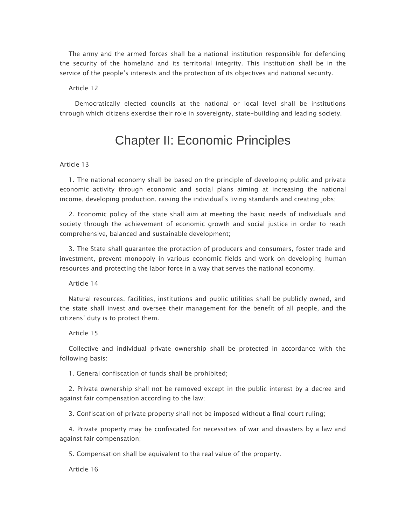The army and the armed forces shall be a national institution responsible for defending the security of the homeland and its territorial integrity. This institution shall be in the service of the people's interests and the protection of its objectives and national security.

## Article 12

Democratically elected councils at the national or local level shall be institutions through which citizens exercise their role in sovereignty, state-building and leading society.

# Chapter II: Economic Principles

## Article 13

1. The national economy shall be based on the principle of developing public and private economic activity through economic and social plans aiming at increasing the national income, developing production, raising the individual's living standards and creating jobs;

2. Economic policy of the state shall aim at meeting the basic needs of individuals and society through the achievement of economic growth and social justice in order to reach comprehensive, balanced and sustainable development;

3. The State shall guarantee the protection of producers and consumers, foster trade and investment, prevent monopoly in various economic fields and work on developing human resources and protecting the labor force in a way that serves the national economy.

Article 14

Natural resources, facilities, institutions and public utilities shall be publicly owned, and the state shall invest and oversee their management for the benefit of all people, and the citizens' duty is to protect them.

Article 15

Collective and individual private ownership shall be protected in accordance with the following basis:

1. General confiscation of funds shall be prohibited;

2. Private ownership shall not be removed except in the public interest by a decree and against fair compensation according to the law;

3. Confiscation of private property shall not be imposed without a final court ruling;

4. Private property may be confiscated for necessities of war and disasters by a law and against fair compensation;

5. Compensation shall be equivalent to the real value of the property.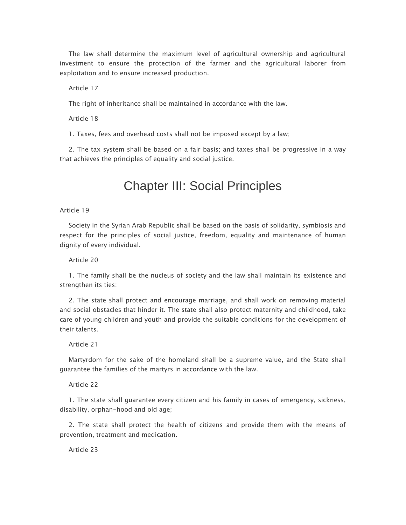The law shall determine the maximum level of agricultural ownership and agricultural investment to ensure the protection of the farmer and the agricultural laborer from exploitation and to ensure increased production.

Article 17

The right of inheritance shall be maintained in accordance with the law.

Article 18

1. Taxes, fees and overhead costs shall not be imposed except by a law;

2. The tax system shall be based on a fair basis; and taxes shall be progressive in a way that achieves the principles of equality and social justice.

## Chapter III: Social Principles

#### Article 19

Society in the Syrian Arab Republic shall be based on the basis of solidarity, symbiosis and respect for the principles of social justice, freedom, equality and maintenance of human dignity of every individual.

#### Article 20

1. The family shall be the nucleus of society and the law shall maintain its existence and strengthen its ties;

2. The state shall protect and encourage marriage, and shall work on removing material and social obstacles that hinder it. The state shall also protect maternity and childhood, take care of young children and youth and provide the suitable conditions for the development of their talents.

#### Article 21

Martyrdom for the sake of the homeland shall be a supreme value, and the State shall guarantee the families of the martyrs in accordance with the law.

## Article 22

1. The state shall guarantee every citizen and his family in cases of emergency, sickness, disability, orphan-hood and old age;

2. The state shall protect the health of citizens and provide them with the means of prevention, treatment and medication.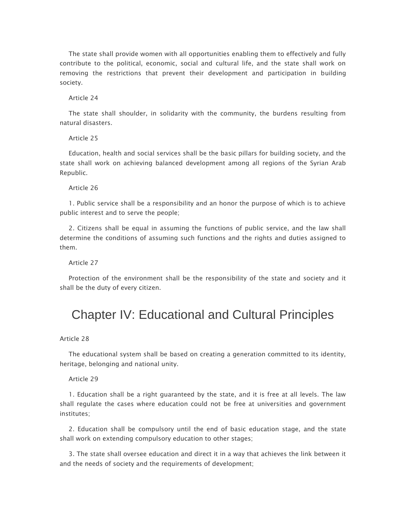The state shall provide women with all opportunities enabling them to effectively and fully contribute to the political, economic, social and cultural life, and the state shall work on removing the restrictions that prevent their development and participation in building society.

Article 24

The state shall shoulder, in solidarity with the community, the burdens resulting from natural disasters.

Article 25

Education, health and social services shall be the basic pillars for building society, and the state shall work on achieving balanced development among all regions of the Syrian Arab Republic.

Article 26

1. Public service shall be a responsibility and an honor the purpose of which is to achieve public interest and to serve the people;

2. Citizens shall be equal in assuming the functions of public service, and the law shall determine the conditions of assuming such functions and the rights and duties assigned to them.

Article 27

Protection of the environment shall be the responsibility of the state and society and it shall be the duty of every citizen.

# Chapter IV: Educational and Cultural Principles

## Article 28

The educational system shall be based on creating a generation committed to its identity, heritage, belonging and national unity.

Article 29

1. Education shall be a right guaranteed by the state, and it is free at all levels. The law shall regulate the cases where education could not be free at universities and government institutes;

2. Education shall be compulsory until the end of basic education stage, and the state shall work on extending compulsory education to other stages;

3. The state shall oversee education and direct it in a way that achieves the link between it and the needs of society and the requirements of development;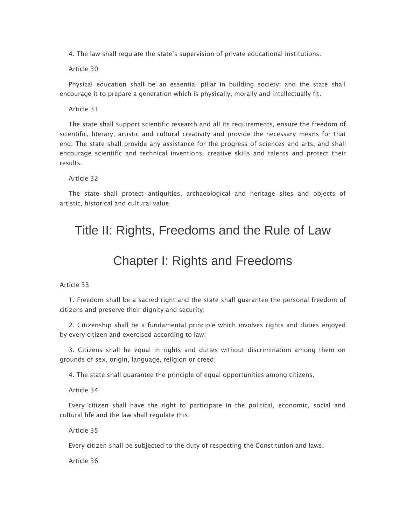4. The law shall regulate the state's supervision of private educational institutions.

Article 30

Physical education shall be an essential pillar in building society; and the state shall encourage it to prepare a generation which is physically, morally and intellectually fit.

Article 31

The state shall support scientific research and all its requirements, ensure the freedom of scientific, literary, artistic and cultural creativity and provide the necessary means for that end. The state shall provide any assistance for the progress of sciences and arts, and shall encourage scientific and technical inventions, creative skills and talents and protect their results.

Article 32

The state shall protect antiquities, archaeological and heritage sites and objects of artistic, historical and cultural value.

# Title II: Rights, Freedoms and the Rule of Law

# Chapter I: Rights and Freedoms

## Article 33

1. Freedom shall be a sacred right and the state shall guarantee the personal freedom of citizens and preserve their dignity and security;

2. Citizenship shall be a fundamental principle which involves rights and duties enjoyed by every citizen and exercised according to law;

3. Citizens shall be equal in rights and duties without discrimination among them on grounds of sex, origin, language, religion or creed;

4. The state shall guarantee the principle of equal opportunities among citizens.

Article 34

Every citizen shall have the right to participate in the political, economic, social and cultural life and the law shall regulate this.

Article 35

Every citizen shall be subjected to the duty of respecting the Constitution and laws.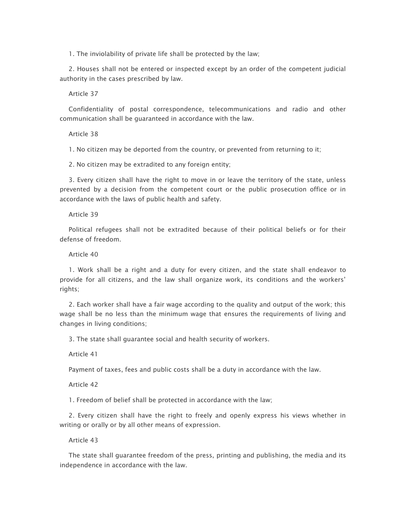1. The inviolability of private life shall be protected by the law;

2. Houses shall not be entered or inspected except by an order of the competent judicial authority in the cases prescribed by law.

Article 37

Confidentiality of postal correspondence, telecommunications and radio and other communication shall be guaranteed in accordance with the law.

Article 38

1. No citizen may be deported from the country, or prevented from returning to it;

2. No citizen may be extradited to any foreign entity;

3. Every citizen shall have the right to move in or leave the territory of the state, unless prevented by a decision from the competent court or the public prosecution office or in accordance with the laws of public health and safety.

Article 39

Political refugees shall not be extradited because of their political beliefs or for their defense of freedom.

Article 40

1. Work shall be a right and a duty for every citizen, and the state shall endeavor to provide for all citizens, and the law shall organize work, its conditions and the workers' rights;

2. Each worker shall have a fair wage according to the quality and output of the work; this wage shall be no less than the minimum wage that ensures the requirements of living and changes in living conditions;

3. The state shall guarantee social and health security of workers.

Article 41

Payment of taxes, fees and public costs shall be a duty in accordance with the law.

Article 42

1. Freedom of belief shall be protected in accordance with the law;

2. Every citizen shall have the right to freely and openly express his views whether in writing or orally or by all other means of expression.

Article 43

The state shall guarantee freedom of the press, printing and publishing, the media and its independence in accordance with the law.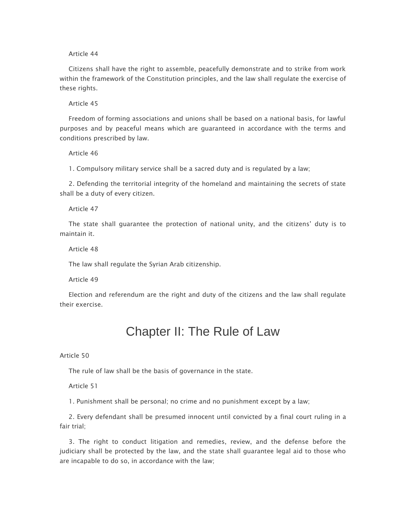Citizens shall have the right to assemble, peacefully demonstrate and to strike from work within the framework of the Constitution principles, and the law shall regulate the exercise of these rights.

Article 45

Freedom of forming associations and unions shall be based on a national basis, for lawful purposes and by peaceful means which are guaranteed in accordance with the terms and conditions prescribed by law.

Article 46

1. Compulsory military service shall be a sacred duty and is regulated by a law;

2. Defending the territorial integrity of the homeland and maintaining the secrets of state shall be a duty of every citizen.

Article 47

The state shall guarantee the protection of national unity, and the citizens' duty is to maintain it.

Article 48

The law shall regulate the Syrian Arab citizenship.

Article 49

Election and referendum are the right and duty of the citizens and the law shall regulate their exercise.

## Chapter II: The Rule of Law

Article 50

The rule of law shall be the basis of governance in the state.

Article 51

1. Punishment shall be personal; no crime and no punishment except by a law;

2. Every defendant shall be presumed innocent until convicted by a final court ruling in a fair trial;

3. The right to conduct litigation and remedies, review, and the defense before the judiciary shall be protected by the law, and the state shall guarantee legal aid to those who are incapable to do so, in accordance with the law;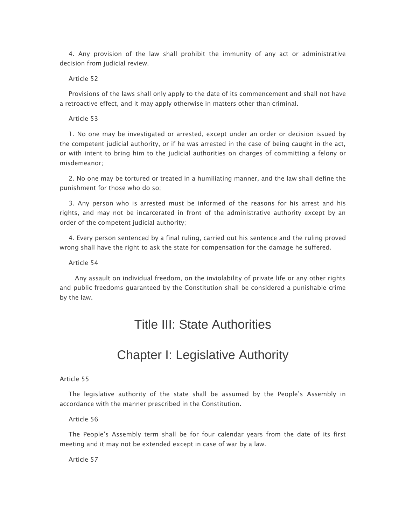4. Any provision of the law shall prohibit the immunity of any act or administrative decision from judicial review.

#### Article 52

Provisions of the laws shall only apply to the date of its commencement and shall not have a retroactive effect, and it may apply otherwise in matters other than criminal.

#### Article 53

1. No one may be investigated or arrested, except under an order or decision issued by the competent judicial authority, or if he was arrested in the case of being caught in the act, or with intent to bring him to the judicial authorities on charges of committing a felony or misdemeanor;

2. No one may be tortured or treated in a humiliating manner, and the law shall define the punishment for those who do so;

3. Any person who is arrested must be informed of the reasons for his arrest and his rights, and may not be incarcerated in front of the administrative authority except by an order of the competent judicial authority;

4. Every person sentenced by a final ruling, carried out his sentence and the ruling proved wrong shall have the right to ask the state for compensation for the damage he suffered.

#### Article 54

Any assault on individual freedom, on the inviolability of private life or any other rights and public freedoms guaranteed by the Constitution shall be considered a punishable crime by the law.

## Title III: State Authorities

## Chapter I: Legislative Authority

#### Article 55

The legislative authority of the state shall be assumed by the People's Assembly in accordance with the manner prescribed in the Constitution.

#### Article 56

The People's Assembly term shall be for four calendar years from the date of its first meeting and it may not be extended except in case of war by a law.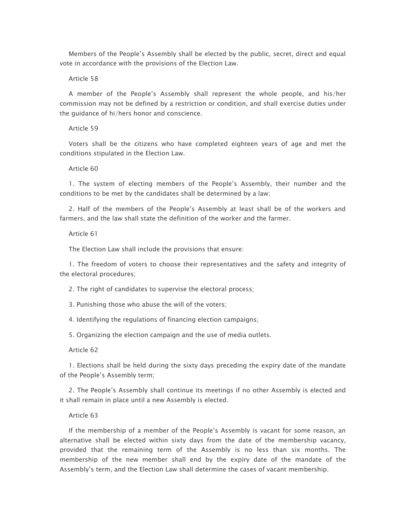Members of the People's Assembly shall be elected by the public, secret, direct and equal vote in accordance with the provisions of the Election Law.

#### Article 58

A member of the People's Assembly shall represent the whole people, and his/her commission may not be defined by a restriction or condition, and shall exercise duties under the guidance of hi/hers honor and conscience.

## Article 59

Voters shall be the citizens who have completed eighteen years of age and met the conditions stipulated in the Election Law.

#### Article 60

1. The system of electing members of the People's Assembly, their number and the conditions to be met by the candidates shall be determined by a law;

2. Half of the members of the People's Assembly at least shall be of the workers and farmers, and the law shall state the definition of the worker and the farmer.

#### Article 61

The Election Law shall include the provisions that ensure:

1. The freedom of voters to choose their representatives and the safety and integrity of the electoral procedures;

2. The right of candidates to supervise the electoral process;

3. Punishing those who abuse the will of the voters;

4. Identifying the regulations of financing election campaigns;

5. Organizing the election campaign and the use of media outlets.

## Article 62

1. Elections shall be held during the sixty days preceding the expiry date of the mandate of the People's Assembly term;

2. The People's Assembly shall continue its meetings if no other Assembly is elected and it shall remain in place until a new Assembly is elected.

## Article 63

If the membership of a member of the People's Assembly is vacant for some reason, an alternative shall be elected within sixty days from the date of the membership vacancy, provided that the remaining term of the Assembly is no less than six months. The membership of the new member shall end by the expiry date of the mandate of the Assembly's term, and the Election Law shall determine the cases of vacant membership.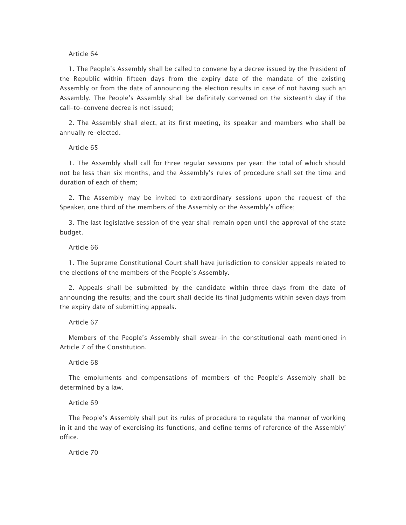1. The People's Assembly shall be called to convene by a decree issued by the President of the Republic within fifteen days from the expiry date of the mandate of the existing Assembly or from the date of announcing the election results in case of not having such an Assembly. The People's Assembly shall be definitely convened on the sixteenth day if the call-to-convene decree is not issued;

2. The Assembly shall elect, at its first meeting, its speaker and members who shall be annually re-elected.

## Article 65

1. The Assembly shall call for three regular sessions per year; the total of which should not be less than six months, and the Assembly's rules of procedure shall set the time and duration of each of them;

2. The Assembly may be invited to extraordinary sessions upon the request of the Speaker, one third of the members of the Assembly or the Assembly's office;

3. The last legislative session of the year shall remain open until the approval of the state budget.

#### Article 66

1. The Supreme Constitutional Court shall have jurisdiction to consider appeals related to the elections of the members of the People's Assembly.

2. Appeals shall be submitted by the candidate within three days from the date of announcing the results; and the court shall decide its final judgments within seven days from the expiry date of submitting appeals.

#### Article 67

Members of the People's Assembly shall swear-in the constitutional oath mentioned in Article 7 of the Constitution.

#### Article 68

The emoluments and compensations of members of the People's Assembly shall be determined by a law.

#### Article 69

The People's Assembly shall put its rules of procedure to regulate the manner of working in it and the way of exercising its functions, and define terms of reference of the Assembly' office.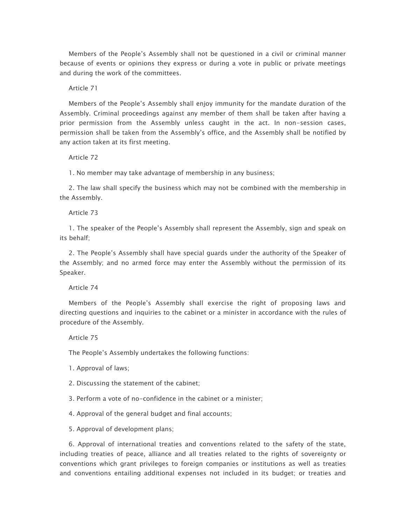Members of the People's Assembly shall not be questioned in a civil or criminal manner because of events or opinions they express or during a vote in public or private meetings and during the work of the committees.

Article 71

Members of the People's Assembly shall enjoy immunity for the mandate duration of the Assembly. Criminal proceedings against any member of them shall be taken after having a prior permission from the Assembly unless caught in the act. In non-session cases, permission shall be taken from the Assembly's office, and the Assembly shall be notified by any action taken at its first meeting.

Article 72

1. No member may take advantage of membership in any business;

2. The law shall specify the business which may not be combined with the membership in the Assembly.

Article 73

1. The speaker of the People's Assembly shall represent the Assembly, sign and speak on its behalf;

2. The People's Assembly shall have special guards under the authority of the Speaker of the Assembly; and no armed force may enter the Assembly without the permission of its Speaker.

Article 74

Members of the People's Assembly shall exercise the right of proposing laws and directing questions and inquiries to the cabinet or a minister in accordance with the rules of procedure of the Assembly.

Article 75

The People's Assembly undertakes the following functions:

- 1. Approval of laws;
- 2. Discussing the statement of the cabinet;
- 3. Perform a vote of no-confidence in the cabinet or a minister;
- 4. Approval of the general budget and final accounts;
- 5. Approval of development plans;

6. Approval of international treaties and conventions related to the safety of the state, including treaties of peace, alliance and all treaties related to the rights of sovereignty or conventions which grant privileges to foreign companies or institutions as well as treaties and conventions entailing additional expenses not included in its budget; or treaties and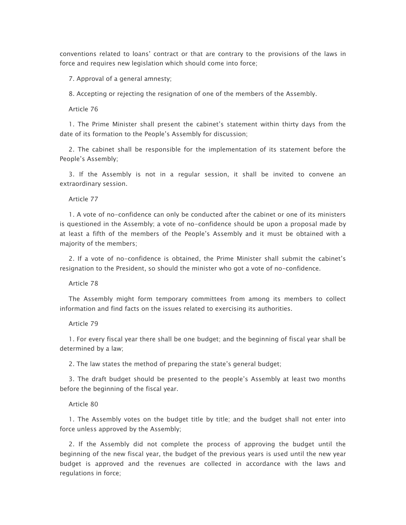conventions related to loans' contract or that are contrary to the provisions of the laws in force and requires new legislation which should come into force;

7. Approval of a general amnesty;

8. Accepting or rejecting the resignation of one of the members of the Assembly.

Article 76

1. The Prime Minister shall present the cabinet's statement within thirty days from the date of its formation to the People's Assembly for discussion;

2. The cabinet shall be responsible for the implementation of its statement before the People's Assembly;

3. If the Assembly is not in a regular session, it shall be invited to convene an extraordinary session.

Article 77

1. A vote of no-confidence can only be conducted after the cabinet or one of its ministers is questioned in the Assembly; a vote of no-confidence should be upon a proposal made by at least a fifth of the members of the People's Assembly and it must be obtained with a majority of the members;

2. If a vote of no-confidence is obtained, the Prime Minister shall submit the cabinet's resignation to the President, so should the minister who got a vote of no-confidence.

Article 78

The Assembly might form temporary committees from among its members to collect information and find facts on the issues related to exercising its authorities.

Article 79

1. For every fiscal year there shall be one budget; and the beginning of fiscal year shall be determined by a law;

2. The law states the method of preparing the state's general budget;

3. The draft budget should be presented to the people's Assembly at least two months before the beginning of the fiscal year.

#### Article 80

1. The Assembly votes on the budget title by title; and the budget shall not enter into force unless approved by the Assembly;

2. If the Assembly did not complete the process of approving the budget until the beginning of the new fiscal year, the budget of the previous years is used until the new year budget is approved and the revenues are collected in accordance with the laws and regulations in force;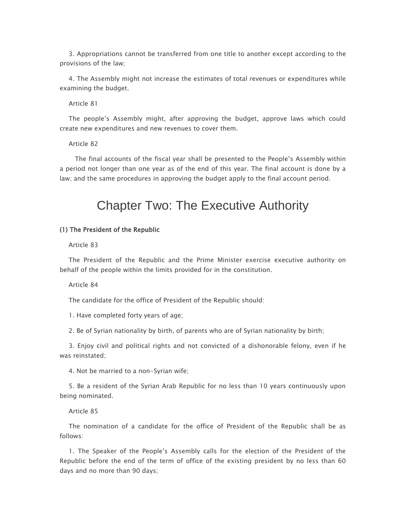3. Appropriations cannot be transferred from one title to another except according to the provisions of the law;

4. The Assembly might not increase the estimates of total revenues or expenditures while examining the budget.

Article 81

The people's Assembly might, after approving the budget, approve laws which could create new expenditures and new revenues to cover them.

Article 82

The final accounts of the fiscal year shall be presented to the People's Assembly within a period not longer than one year as of the end of this year. The final account is done by a law; and the same procedures in approving the budget apply to the final account period.

# Chapter Two: The Executive Authority

## (1) The President of the Republic

Article 83

The President of the Republic and the Prime Minister exercise executive authority on behalf of the people within the limits provided for in the constitution.

Article 84

The candidate for the office of President of the Republic should:

1. Have completed forty years of age;

2. Be of Syrian nationality by birth, of parents who are of Syrian nationality by birth;

3. Enjoy civil and political rights and not convicted of a dishonorable felony, even if he was reinstated;

4. Not be married to a non-Syrian wife;

5. Be a resident of the Syrian Arab Republic for no less than 10 years continuously upon being nominated.

Article 85

The nomination of a candidate for the office of President of the Republic shall be as follows:

1. The Speaker of the People's Assembly calls for the election of the President of the Republic before the end of the term of office of the existing president by no less than 60 days and no more than 90 days;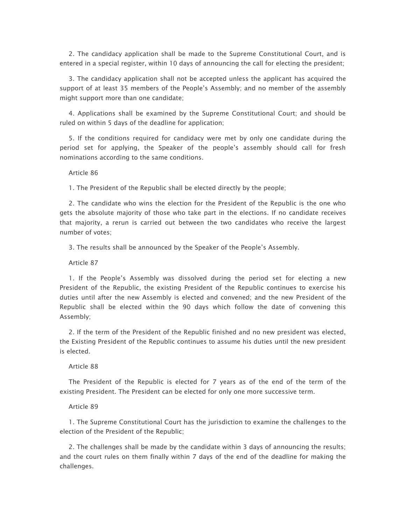2. The candidacy application shall be made to the Supreme Constitutional Court, and is entered in a special register, within 10 days of announcing the call for electing the president;

3. The candidacy application shall not be accepted unless the applicant has acquired the support of at least 35 members of the People's Assembly; and no member of the assembly might support more than one candidate;

4. Applications shall be examined by the Supreme Constitutional Court; and should be ruled on within 5 days of the deadline for application;

5. If the conditions required for candidacy were met by only one candidate during the period set for applying, the Speaker of the people's assembly should call for fresh nominations according to the same conditions.

Article 86

1. The President of the Republic shall be elected directly by the people;

2. The candidate who wins the election for the President of the Republic is the one who gets the absolute majority of those who take part in the elections. If no candidate receives that majority, a rerun is carried out between the two candidates who receive the largest number of votes;

3. The results shall be announced by the Speaker of the People's Assembly.

Article 87

1. If the People's Assembly was dissolved during the period set for electing a new President of the Republic, the existing President of the Republic continues to exercise his duties until after the new Assembly is elected and convened; and the new President of the Republic shall be elected within the 90 days which follow the date of convening this Assembly;

2. If the term of the President of the Republic finished and no new president was elected, the Existing President of the Republic continues to assume his duties until the new president is elected.

Article 88

The President of the Republic is elected for 7 years as of the end of the term of the existing President. The President can be elected for only one more successive term.

Article 89

1. The Supreme Constitutional Court has the jurisdiction to examine the challenges to the election of the President of the Republic;

2. The challenges shall be made by the candidate within 3 days of announcing the results; and the court rules on them finally within 7 days of the end of the deadline for making the challenges.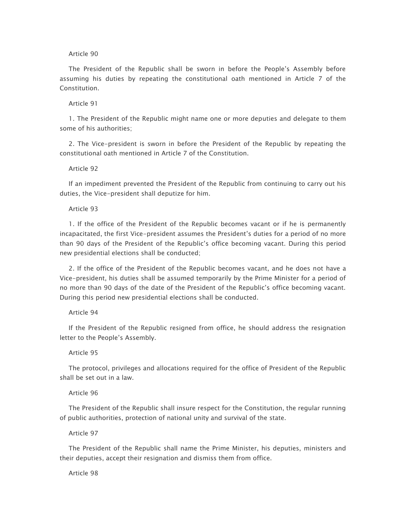The President of the Republic shall be sworn in before the People's Assembly before assuming his duties by repeating the constitutional oath mentioned in Article 7 of the Constitution.

## Article 91

1. The President of the Republic might name one or more deputies and delegate to them some of his authorities;

2. The Vice-president is sworn in before the President of the Republic by repeating the constitutional oath mentioned in Article 7 of the Constitution.

## Article 92

If an impediment prevented the President of the Republic from continuing to carry out his duties, the Vice-president shall deputize for him.

#### Article 93

1. If the office of the President of the Republic becomes vacant or if he is permanently incapacitated, the first Vice-president assumes the President's duties for a period of no more than 90 days of the President of the Republic's office becoming vacant. During this period new presidential elections shall be conducted;

2. If the office of the President of the Republic becomes vacant, and he does not have a Vice-president, his duties shall be assumed temporarily by the Prime Minister for a period of no more than 90 days of the date of the President of the Republic's office becoming vacant. During this period new presidential elections shall be conducted.

#### Article 94

If the President of the Republic resigned from office, he should address the resignation letter to the People's Assembly.

#### Article 95

The protocol, privileges and allocations required for the office of President of the Republic shall be set out in a law.

#### Article 96

The President of the Republic shall insure respect for the Constitution, the regular running of public authorities, protection of national unity and survival of the state.

## Article 97

The President of the Republic shall name the Prime Minister, his deputies, ministers and their deputies, accept their resignation and dismiss them from office.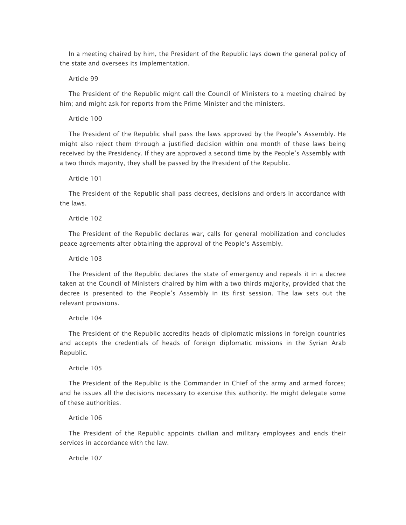In a meeting chaired by him, the President of the Republic lays down the general policy of the state and oversees its implementation.

#### Article 99

The President of the Republic might call the Council of Ministers to a meeting chaired by him; and might ask for reports from the Prime Minister and the ministers.

#### Article 100

The President of the Republic shall pass the laws approved by the People's Assembly. He might also reject them through a justified decision within one month of these laws being received by the Presidency. If they are approved a second time by the People's Assembly with a two thirds majority, they shall be passed by the President of the Republic.

#### Article 101

The President of the Republic shall pass decrees, decisions and orders in accordance with the laws.

## Article 102

The President of the Republic declares war, calls for general mobilization and concludes peace agreements after obtaining the approval of the People's Assembly.

#### Article 103

The President of the Republic declares the state of emergency and repeals it in a decree taken at the Council of Ministers chaired by him with a two thirds majority, provided that the decree is presented to the People's Assembly in its first session. The law sets out the relevant provisions.

#### Article 104

The President of the Republic accredits heads of diplomatic missions in foreign countries and accepts the credentials of heads of foreign diplomatic missions in the Syrian Arab Republic.

## Article 105

The President of the Republic is the Commander in Chief of the army and armed forces; and he issues all the decisions necessary to exercise this authority. He might delegate some of these authorities.

#### Article 106

The President of the Republic appoints civilian and military employees and ends their services in accordance with the law.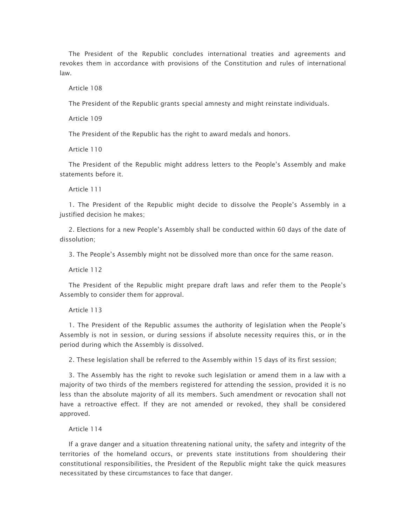The President of the Republic concludes international treaties and agreements and revokes them in accordance with provisions of the Constitution and rules of international law.

#### Article 108

The President of the Republic grants special amnesty and might reinstate individuals.

Article 109

The President of the Republic has the right to award medals and honors.

Article 110

The President of the Republic might address letters to the People's Assembly and make statements before it.

Article 111

1. The President of the Republic might decide to dissolve the People's Assembly in a justified decision he makes;

2. Elections for a new People's Assembly shall be conducted within 60 days of the date of dissolution;

3. The People's Assembly might not be dissolved more than once for the same reason.

Article 112

The President of the Republic might prepare draft laws and refer them to the People's Assembly to consider them for approval.

Article 113

1. The President of the Republic assumes the authority of legislation when the People's Assembly is not in session, or during sessions if absolute necessity requires this, or in the period during which the Assembly is dissolved.

2. These legislation shall be referred to the Assembly within 15 days of its first session;

3. The Assembly has the right to revoke such legislation or amend them in a law with a majority of two thirds of the members registered for attending the session, provided it is no less than the absolute majority of all its members. Such amendment or revocation shall not have a retroactive effect. If they are not amended or revoked, they shall be considered approved.

Article 114

If a grave danger and a situation threatening national unity, the safety and integrity of the territories of the homeland occurs, or prevents state institutions from shouldering their constitutional responsibilities, the President of the Republic might take the quick measures necessitated by these circumstances to face that danger.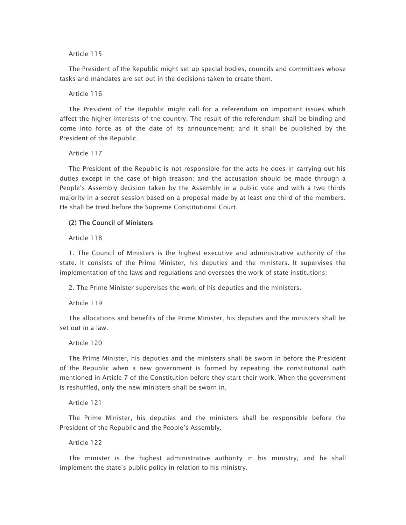The President of the Republic might set up special bodies, councils and committees whose tasks and mandates are set out in the decisions taken to create them.

## Article 116

The President of the Republic might call for a referendum on important issues which affect the higher interests of the country. The result of the referendum shall be binding and come into force as of the date of its announcement; and it shall be published by the President of the Republic.

## Article 117

The President of the Republic is not responsible for the acts he does in carrying out his duties except in the case of high treason; and the accusation should be made through a People's Assembly decision taken by the Assembly in a public vote and with a two thirds majority in a secret session based on a proposal made by at least one third of the members. He shall be tried before the Supreme Constitutional Court.

#### (2) The Council of Ministers

Article 118

1. The Council of Ministers is the highest executive and administrative authority of the state. It consists of the Prime Minister, his deputies and the ministers. It supervises the implementation of the laws and regulations and oversees the work of state institutions;

2. The Prime Minister supervises the work of his deputies and the ministers.

## Article 119

The allocations and benefits of the Prime Minister, his deputies and the ministers shall be set out in a law.

## Article 120

The Prime Minister, his deputies and the ministers shall be sworn in before the President of the Republic when a new government is formed by repeating the constitutional oath mentioned in Article 7 of the Constitution before they start their work. When the government is reshuffled, only the new ministers shall be sworn in.

#### Article 121

The Prime Minister, his deputies and the ministers shall be responsible before the President of the Republic and the People's Assembly.

#### Article 122

The minister is the highest administrative authority in his ministry, and he shall implement the state's public policy in relation to his ministry.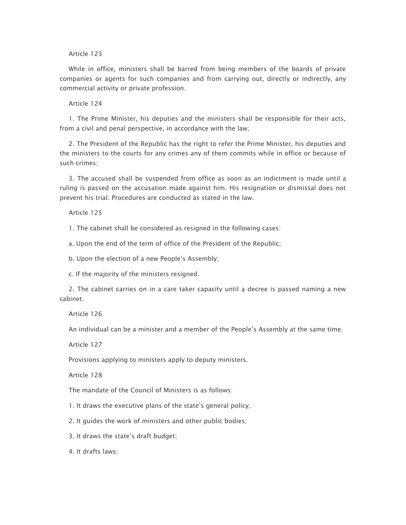While in office, ministers shall be barred from being members of the boards of private companies or agents for such companies and from carrying out, directly or indirectly, any commercial activity or private profession.

Article 124

1. The Prime Minister, his deputies and the ministers shall be responsible for their acts, from a civil and penal perspective, in accordance with the law;

2. The President of the Republic has the right to refer the Prime Minister, his deputies and the ministers to the courts for any crimes any of them commits while in office or because of such crimes;

3. The accused shall be suspended from office as soon as an indictment is made until a ruling is passed on the accusation made against him. His resignation or dismissal does not prevent his trial. Procedures are conducted as stated in the law.

Article 125

1. The cabinet shall be considered as resigned in the following cases:

a. Upon the end of the term of office of the President of the Republic;

b. Upon the election of a new People's Assembly;

c. If the majority of the ministers resigned.

2. The cabinet carries on in a care taker capacity until a decree is passed naming a new cabinet.

Article 126

An individual can be a minister and a member of the People's Assembly at the same time.

Article 127

Provisions applying to ministers apply to deputy ministers.

Article 128

The mandate of the Council of Ministers is as follows:

1. It draws the executive plans of the state's general policy;

2. It guides the work of ministers and other public bodies;

3. It draws the state's draft budget;

4. It drafts laws;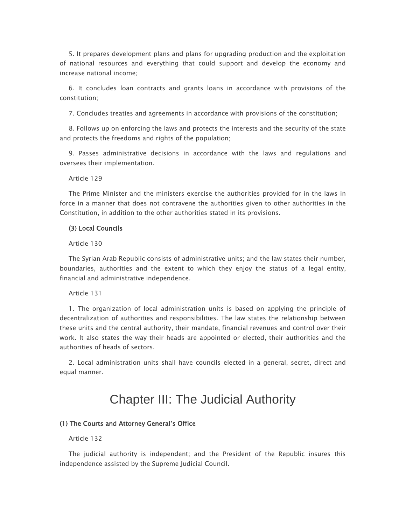5. It prepares development plans and plans for upgrading production and the exploitation of national resources and everything that could support and develop the economy and increase national income;

6. It concludes loan contracts and grants loans in accordance with provisions of the constitution;

7. Concludes treaties and agreements in accordance with provisions of the constitution;

8. Follows up on enforcing the laws and protects the interests and the security of the state and protects the freedoms and rights of the population;

9. Passes administrative decisions in accordance with the laws and regulations and oversees their implementation.

Article 129

The Prime Minister and the ministers exercise the authorities provided for in the laws in force in a manner that does not contravene the authorities given to other authorities in the Constitution, in addition to the other authorities stated in its provisions.

#### (3) Local Councils

Article 130

The Syrian Arab Republic consists of administrative units; and the law states their number, boundaries, authorities and the extent to which they enjoy the status of a legal entity, financial and administrative independence.

Article 131

1. The organization of local administration units is based on applying the principle of decentralization of authorities and responsibilities. The law states the relationship between these units and the central authority, their mandate, financial revenues and control over their work. It also states the way their heads are appointed or elected, their authorities and the authorities of heads of sectors.

2. Local administration units shall have councils elected in a general, secret, direct and equal manner.

# Chapter III: The Judicial Authority

## (1) The Courts and Attorney General's Office

## Article 132

The judicial authority is independent; and the President of the Republic insures this independence assisted by the Supreme Judicial Council.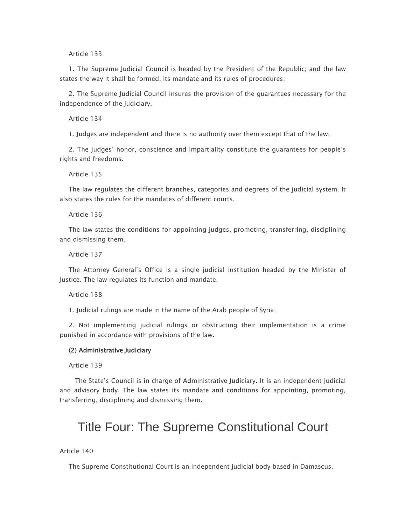1. The Supreme Judicial Council is headed by the President of the Republic; and the law states the way it shall be formed, its mandate and its rules of procedures;

2. The Supreme Judicial Council insures the provision of the guarantees necessary for the independence of the judiciary.

Article 134

1. Judges are independent and there is no authority over them except that of the law;

2. The judges' honor, conscience and impartiality constitute the guarantees for people's rights and freedoms.

Article 135

The law regulates the different branches, categories and degrees of the judicial system. It also states the rules for the mandates of different courts.

Article 136

The law states the conditions for appointing judges, promoting, transferring, disciplining and dismissing them.

Article 137

The Attorney General's Office is a single judicial institution headed by the Minister of Justice. The law regulates its function and mandate.

Article 138

1. Judicial rulings are made in the name of the Arab people of Syria;

2. Not implementing judicial rulings or obstructing their implementation is a crime punished in accordance with provisions of the law.

## (2) Administrative Judiciary

Article 139

The State's Council is in charge of Administrative Judiciary. It is an independent judicial and advisory body. The law states its mandate and conditions for appointing, promoting, transferring, disciplining and dismissing them.

## Title Four: The Supreme Constitutional Court

Article 140

The Supreme Constitutional Court is an independent judicial body based in Damascus.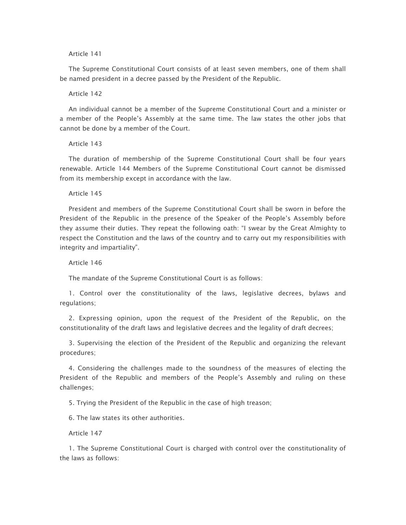The Supreme Constitutional Court consists of at least seven members, one of them shall be named president in a decree passed by the President of the Republic.

## Article 142

An individual cannot be a member of the Supreme Constitutional Court and a minister or a member of the People's Assembly at the same time. The law states the other jobs that cannot be done by a member of the Court.

## Article 143

The duration of membership of the Supreme Constitutional Court shall be four years renewable. Article 144 Members of the Supreme Constitutional Court cannot be dismissed from its membership except in accordance with the law.

## Article 145

President and members of the Supreme Constitutional Court shall be sworn in before the President of the Republic in the presence of the Speaker of the People's Assembly before they assume their duties. They repeat the following oath: "I swear by the Great Almighty to respect the Constitution and the laws of the country and to carry out my responsibilities with integrity and impartiality".

#### Article 146

The mandate of the Supreme Constitutional Court is as follows:

1. Control over the constitutionality of the laws, legislative decrees, bylaws and regulations;

2. Expressing opinion, upon the request of the President of the Republic, on the constitutionality of the draft laws and legislative decrees and the legality of draft decrees;

3. Supervising the election of the President of the Republic and organizing the relevant procedures;

4. Considering the challenges made to the soundness of the measures of electing the President of the Republic and members of the People's Assembly and ruling on these challenges;

5. Trying the President of the Republic in the case of high treason;

6. The law states its other authorities.

Article 147

1. The Supreme Constitutional Court is charged with control over the constitutionality of the laws as follows: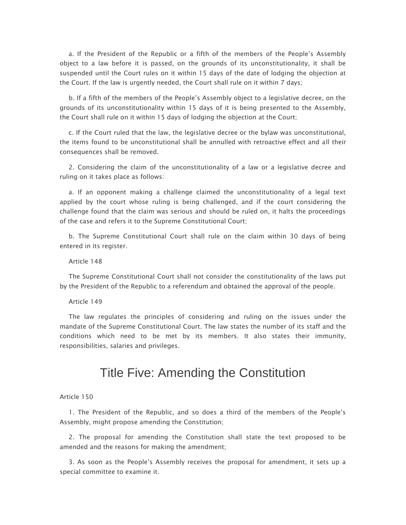a. If the President of the Republic or a fifth of the members of the People's Assembly object to a law before it is passed, on the grounds of its unconstitutionality, it shall be suspended until the Court rules on it within 15 days of the date of lodging the objection at the Court. If the law is urgently needed, the Court shall rule on it within 7 days;

b. If a fifth of the members of the People's Assembly object to a legislative decree, on the grounds of its unconstitutionality within 15 days of it is being presented to the Assembly, the Court shall rule on it within 15 days of lodging the objection at the Court;

c. If the Court ruled that the law, the legislative decree or the bylaw was unconstitutional, the items found to be unconstitutional shall be annulled with retroactive effect and all their consequences shall be removed.

2. Considering the claim of the unconstitutionality of a law or a legislative decree and ruling on it takes place as follows:

a. If an opponent making a challenge claimed the unconstitutionality of a legal text applied by the court whose ruling is being challenged, and if the court considering the challenge found that the claim was serious and should be ruled on, it halts the proceedings of the case and refers it to the Supreme Constitutional Court;

b. The Supreme Constitutional Court shall rule on the claim within 30 days of being entered in its register.

Article 148

The Supreme Constitutional Court shall not consider the constitutionality of the laws put by the President of the Republic to a referendum and obtained the approval of the people.

#### Article 149

The law regulates the principles of considering and ruling on the issues under the mandate of the Supreme Constitutional Court. The law states the number of its staff and the conditions which need to be met by its members. It also states their immunity, responsibilities, salaries and privileges.

## Title Five: Amending the Constitution

#### Article 150

1. The President of the Republic, and so does a third of the members of the People's Assembly, might propose amending the Constitution;

2. The proposal for amending the Constitution shall state the text proposed to be amended and the reasons for making the amendment;

3. As soon as the People's Assembly receives the proposal for amendment, it sets up a special committee to examine it.